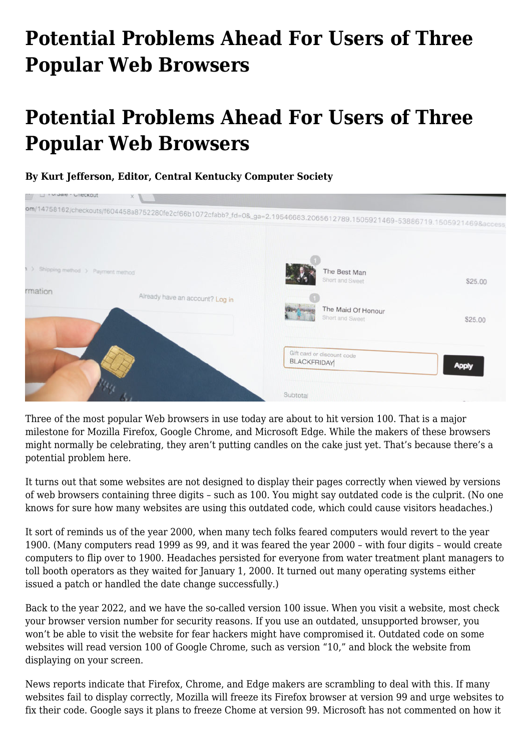## **[Potential Problems Ahead For Users of Three](https://www.melbpc.org.au/potential-problems-ahead-for-users-of-three-popular-web-browsers/) [Popular Web Browsers](https://www.melbpc.org.au/potential-problems-ahead-for-users-of-three-popular-web-browsers/)**

## **Potential Problems Ahead For Users of Three Popular Web Browsers**

## **By Kurt Jefferson, Editor, Central Kentucky Computer Society**



Three of the most popular Web browsers in use today are about to hit version 100. That is a major milestone for Mozilla Firefox, Google Chrome, and Microsoft Edge. While the makers of these browsers might normally be celebrating, they aren't putting candles on the cake just yet. That's because there's a potential problem here.

It turns out that some websites are not designed to display their pages correctly when viewed by versions of web browsers containing three digits – such as 100. You might say outdated code is the culprit. (No one knows for sure how many websites are using this outdated code, which could cause visitors headaches.)

It sort of reminds us of the year 2000, when many tech folks feared computers would revert to the year 1900. (Many computers read 1999 as 99, and it was feared the year 2000 – with four digits – would create computers to flip over to 1900. Headaches persisted for everyone from water treatment plant managers to toll booth operators as they waited for January 1, 2000. It turned out many operating systems either issued a patch or handled the date change successfully.)

Back to the year 2022, and we have the so-called version 100 issue. When you visit a website, most check your browser version number for security reasons. If you use an outdated, unsupported browser, you won't be able to visit the website for fear hackers might have compromised it. Outdated code on some websites will read version 100 of Google Chrome, such as version "10," and block the website from displaying on your screen.

News reports indicate that Firefox, Chrome, and Edge makers are scrambling to deal with this. If many websites fail to display correctly, Mozilla will freeze its Firefox browser at version 99 and urge websites to fix their code. Google says it plans to freeze Chome at version 99. Microsoft has not commented on how it